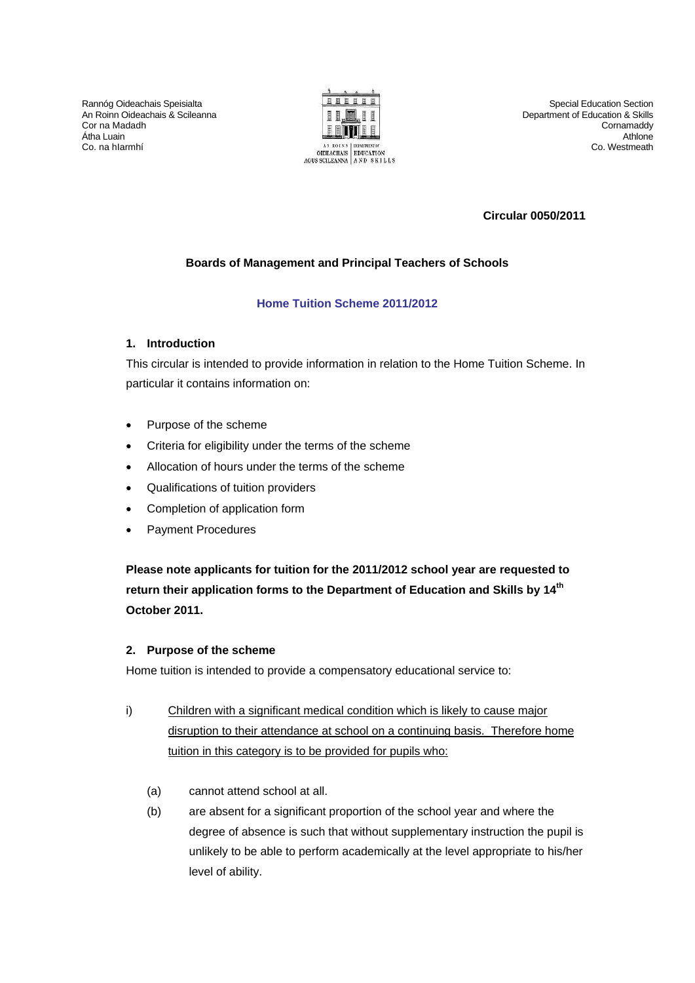Rannóg Oideachais Speisialta An Roinn Oideachais & Scileanna Cor na Madadh Átha Luain Co. na hIarmhí



Special Education Section Department of Education & Skills Cornamaddy Athlone Co. Westmeath

## **Circular 0050/2011**

## **Boards of Management and Principal Teachers of Schools**

## **Home Tuition Scheme 2011/2012**

## **1. Introduction**

This circular is intended to provide information in relation to the Home Tuition Scheme. In particular it contains information on:

- Purpose of the scheme
- Criteria for eligibility under the terms of the scheme
- Allocation of hours under the terms of the scheme
- Qualifications of tuition providers
- Completion of application form
- Payment Procedures

**Please note applicants for tuition for the 2011/2012 school year are requested to return their application forms to the Department of Education and Skills by 14th October 2011.** 

#### **2. Purpose of the scheme**

Home tuition is intended to provide a compensatory educational service to:

- i) Children with a significant medical condition which is likely to cause major disruption to their attendance at school on a continuing basis. Therefore home tuition in this category is to be provided for pupils who:
	- (a) cannot attend school at all.
	- (b) are absent for a significant proportion of the school year and where the degree of absence is such that without supplementary instruction the pupil is unlikely to be able to perform academically at the level appropriate to his/her level of ability.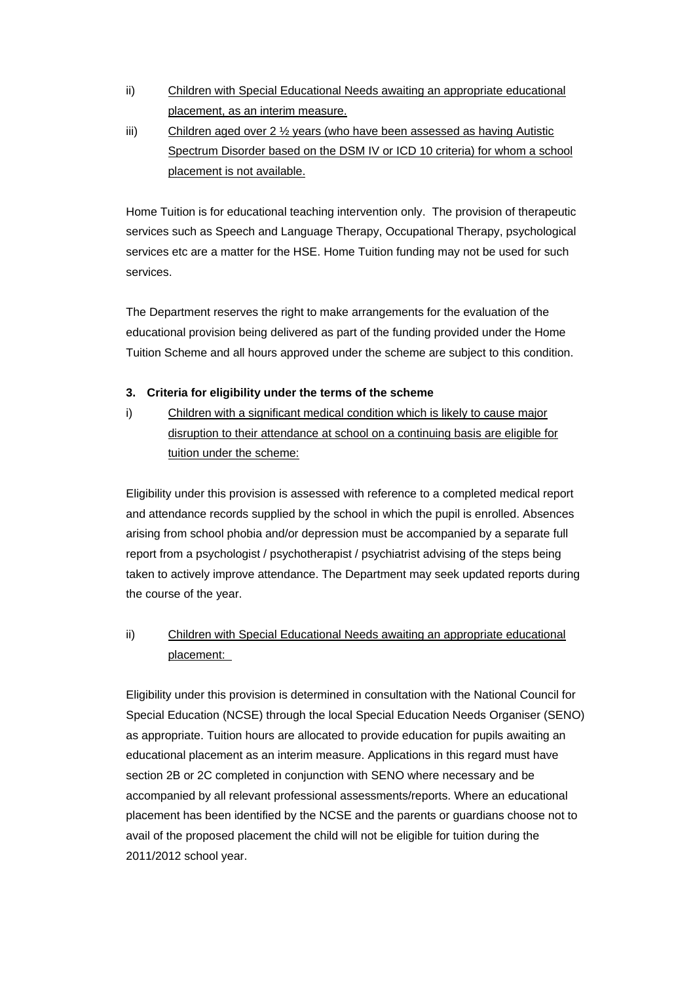- ii) Children with Special Educational Needs awaiting an appropriate educational placement, as an interim measure.
- iii) Children aged over 2 ½ years (who have been assessed as having Autistic Spectrum Disorder based on the DSM IV or ICD 10 criteria) for whom a school placement is not available.

Home Tuition is for educational teaching intervention only. The provision of therapeutic services such as Speech and Language Therapy, Occupational Therapy, psychological services etc are a matter for the HSE. Home Tuition funding may not be used for such services.

The Department reserves the right to make arrangements for the evaluation of the educational provision being delivered as part of the funding provided under the Home Tuition Scheme and all hours approved under the scheme are subject to this condition.

## **3. Criteria for eligibility under the terms of the scheme**

i) Children with a significant medical condition which is likely to cause major disruption to their attendance at school on a continuing basis are eligible for tuition under the scheme:

Eligibility under this provision is assessed with reference to a completed medical report and attendance records supplied by the school in which the pupil is enrolled. Absences arising from school phobia and/or depression must be accompanied by a separate full report from a psychologist / psychotherapist / psychiatrist advising of the steps being taken to actively improve attendance. The Department may seek updated reports during the course of the year.

# ii) Children with Special Educational Needs awaiting an appropriate educational placement:

Eligibility under this provision is determined in consultation with the National Council for Special Education (NCSE) through the local Special Education Needs Organiser (SENO) as appropriate. Tuition hours are allocated to provide education for pupils awaiting an educational placement as an interim measure. Applications in this regard must have section 2B or 2C completed in conjunction with SENO where necessary and be accompanied by all relevant professional assessments/reports. Where an educational placement has been identified by the NCSE and the parents or guardians choose not to avail of the proposed placement the child will not be eligible for tuition during the 2011/2012 school year.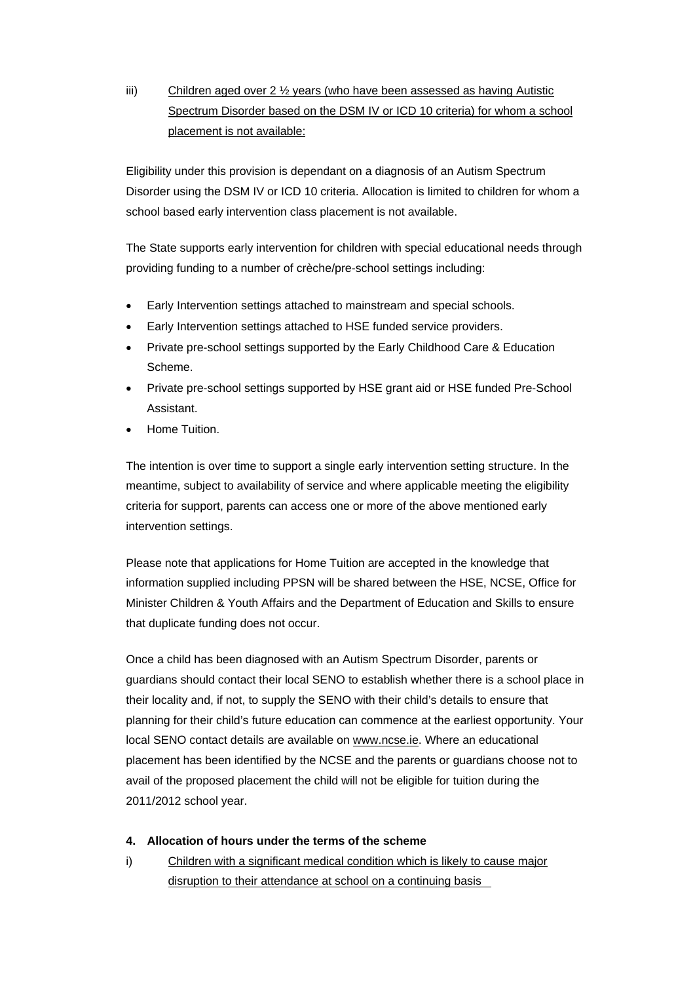iii) Children aged over 2 ½ years (who have been assessed as having Autistic Spectrum Disorder based on the DSM IV or ICD 10 criteria) for whom a school placement is not available:

Eligibility under this provision is dependant on a diagnosis of an Autism Spectrum Disorder using the DSM IV or ICD 10 criteria. Allocation is limited to children for whom a school based early intervention class placement is not available.

The State supports early intervention for children with special educational needs through providing funding to a number of crèche/pre-school settings including:

- Early Intervention settings attached to mainstream and special schools.
- Early Intervention settings attached to HSE funded service providers.
- Private pre-school settings supported by the Early Childhood Care & Education Scheme.
- Private pre-school settings supported by HSE grant aid or HSE funded Pre-School Assistant.
- Home Tuition.

The intention is over time to support a single early intervention setting structure. In the meantime, subject to availability of service and where applicable meeting the eligibility criteria for support, parents can access one or more of the above mentioned early intervention settings.

Please note that applications for Home Tuition are accepted in the knowledge that information supplied including PPSN will be shared between the HSE, NCSE, Office for Minister Children & Youth Affairs and the Department of Education and Skills to ensure that duplicate funding does not occur.

Once a child has been diagnosed with an Autism Spectrum Disorder, parents or guardians should contact their local SENO to establish whether there is a school place in their locality and, if not, to supply the SENO with their child's details to ensure that planning for their child's future education can commence at the earliest opportunity. Your local SENO contact details are available on [www.ncse.ie.](http://www.ncse.ie/) Where an educational placement has been identified by the NCSE and the parents or guardians choose not to avail of the proposed placement the child will not be eligible for tuition during the 2011/2012 school year.

- **4. Allocation of hours under the terms of the scheme**
- i) Children with a significant medical condition which is likely to cause major disruption to their attendance at school on a continuing basis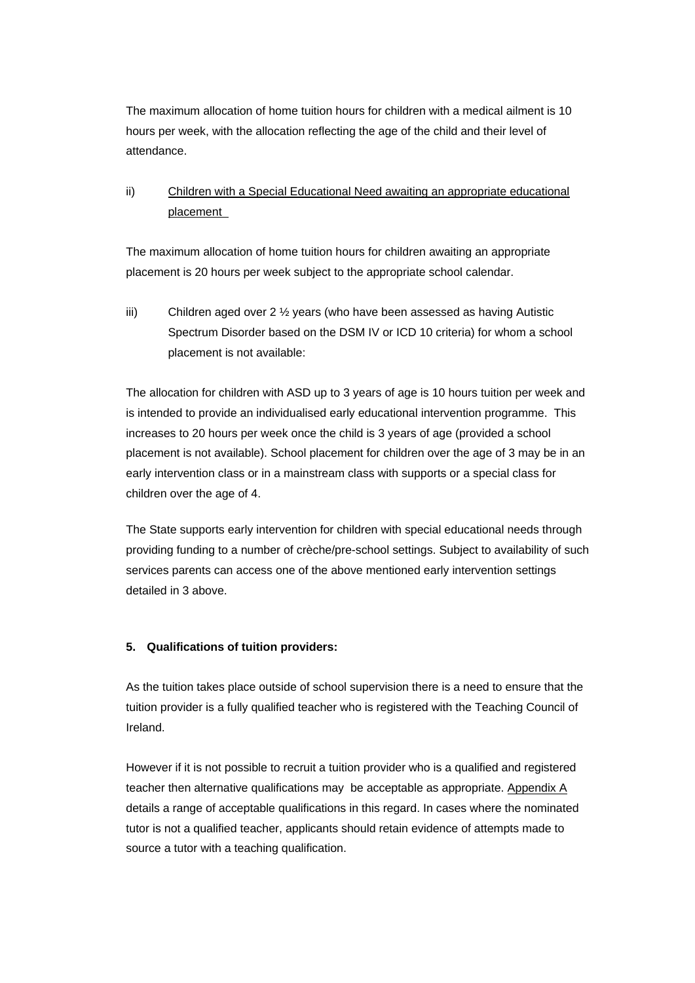The maximum allocation of home tuition hours for children with a medical ailment is 10 hours per week, with the allocation reflecting the age of the child and their level of attendance.

ii) Children with a Special Educational Need awaiting an appropriate educational placement

The maximum allocation of home tuition hours for children awaiting an appropriate placement is 20 hours per week subject to the appropriate school calendar.

iii) Children aged over 2 ½ years (who have been assessed as having Autistic Spectrum Disorder based on the DSM IV or ICD 10 criteria) for whom a school placement is not available:

The allocation for children with ASD up to 3 years of age is 10 hours tuition per week and is intended to provide an individualised early educational intervention programme. This increases to 20 hours per week once the child is 3 years of age (provided a school placement is not available). School placement for children over the age of 3 may be in an early intervention class or in a mainstream class with supports or a special class for children over the age of 4.

The State supports early intervention for children with special educational needs through providing funding to a number of crèche/pre-school settings. Subject to availability of such services parents can access one of the above mentioned early intervention settings detailed in 3 above.

#### **5. Qualifications of tuition providers:**

As the tuition takes place outside of school supervision there is a need to ensure that the tuition provider is a fully qualified teacher who is registered with the Teaching Council of Ireland.

However if it is not possible to recruit a tuition provider who is a qualified and registered teacher then alternative qualifications may be acceptable as appropriate. [Appendix A](#page-8-0) details a range of acceptable qualifications in this regard. In cases where the nominated tutor is not a qualified teacher, applicants should retain evidence of attempts made to source a tutor with a teaching qualification.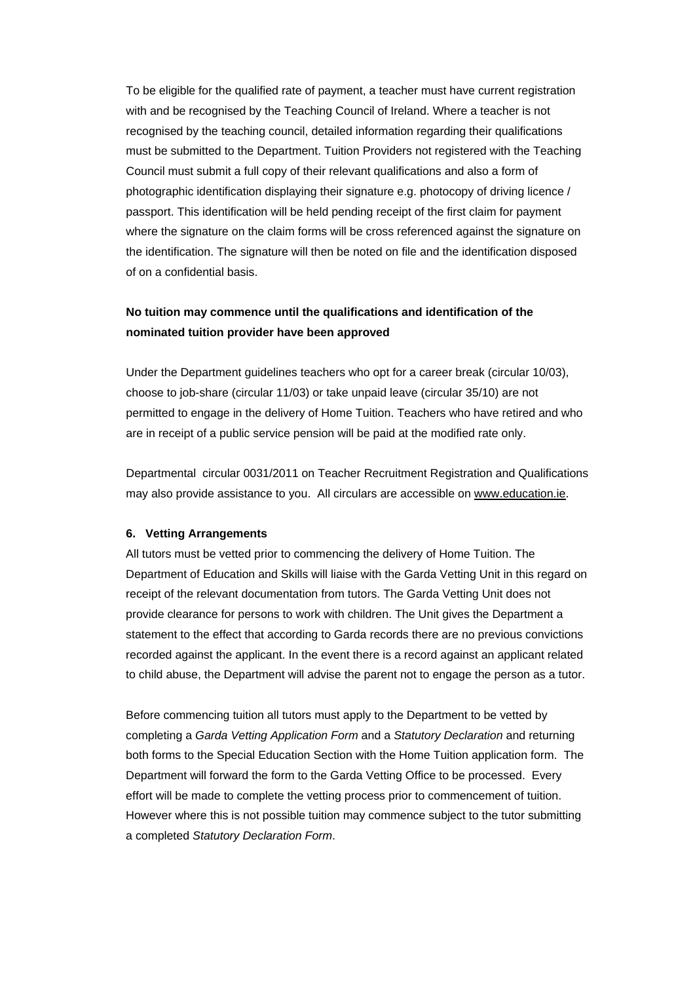To be eligible for the qualified rate of payment, a teacher must have current registration with and be recognised by the Teaching Council of Ireland. Where a teacher is not recognised by the teaching council, detailed information regarding their qualifications must be submitted to the Department. Tuition Providers not registered with the Teaching Council must submit a full copy of their relevant qualifications and also a form of photographic identification displaying their signature e.g. photocopy of driving licence / passport. This identification will be held pending receipt of the first claim for payment where the signature on the claim forms will be cross referenced against the signature on the identification. The signature will then be noted on file and the identification disposed of on a confidential basis.

## **No tuition may commence until the qualifications and identification of the nominated tuition provider have been approved**

Under the Department guidelines teachers who opt for a career break (circular 10/03), choose to job-share (circular 11/03) or take unpaid leave (circular 35/10) are not permitted to engage in the delivery of Home Tuition. Teachers who have retired and who are in receipt of a public service pension will be paid at the modified rate only.

Departmental circular 0031/2011 on Teacher Recruitment Registration and Qualifications may also provide assistance to you. All circulars are accessible on [www.education.ie.](http://www.education.ie/)

#### **6. Vetting Arrangements**

All tutors must be vetted prior to commencing the delivery of Home Tuition. The Department of Education and Skills will liaise with the Garda Vetting Unit in this regard on receipt of the relevant documentation from tutors. The Garda Vetting Unit does not provide clearance for persons to work with children. The Unit gives the Department a statement to the effect that according to Garda records there are no previous convictions recorded against the applicant. In the event there is a record against an applicant related to child abuse, the Department will advise the parent not to engage the person as a tutor.

Before commencing tuition all tutors must apply to the Department to be vetted by completing a *Garda Vetting Application Form* and a *Statutory Declaration* and returning both forms to the Special Education Section with the Home Tuition application form. The Department will forward the form to the Garda Vetting Office to be processed. Every effort will be made to complete the vetting process prior to commencement of tuition. However where this is not possible tuition may commence subject to the tutor submitting a completed *Statutory Declaration Form*.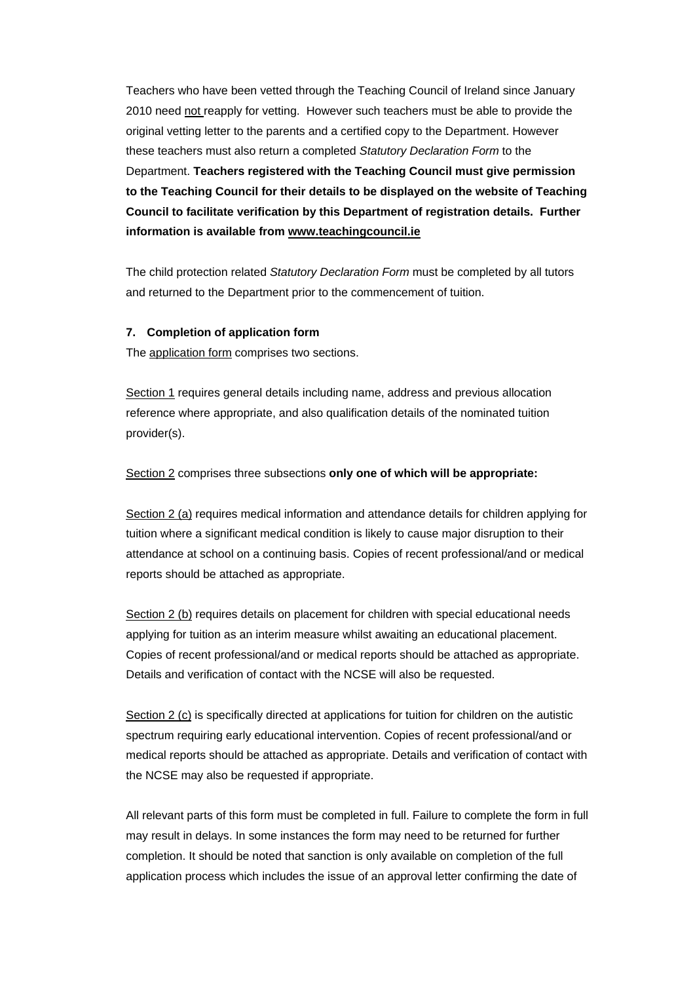Teachers who have been vetted through the Teaching Council of Ireland since January 2010 need not reapply for vetting. However such teachers must be able to provide the original vetting letter to the parents and a certified copy to the Department. However these teachers must also return a completed *Statutory Declaration Form* to the Department. **Teachers registered with the Teaching Council must give permission to the Teaching Council for their details to be displayed on the website of Teaching Council to facilitate verification by this Department of registration details. Further information is available from [www.teachingcouncil.ie](http://www.teachingcouncil.ie/)**

The child protection related *Statutory Declaration Form* must be completed by all tutors and returned to the Department prior to the commencement of tuition.

#### **7. Completion of application form**

The [application form](http://www.education.ie/servlet/blobservlet/sp_home_tuition_app_2011_2012.doc) comprises two sections.

Section 1 requires general details including name, address and previous allocation reference where appropriate, and also qualification details of the nominated tuition provider(s).

Section 2 comprises three subsections **only one of which will be appropriate:**

Section 2 (a) requires medical information and attendance details for children applying for tuition where a significant medical condition is likely to cause major disruption to their attendance at school on a continuing basis. Copies of recent professional/and or medical reports should be attached as appropriate.

Section 2 (b) requires details on placement for children with special educational needs applying for tuition as an interim measure whilst awaiting an educational placement. Copies of recent professional/and or medical reports should be attached as appropriate. Details and verification of contact with the NCSE will also be requested.

Section 2 (c) is specifically directed at applications for tuition for children on the autistic spectrum requiring early educational intervention. Copies of recent professional/and or medical reports should be attached as appropriate. Details and verification of contact with the NCSE may also be requested if appropriate.

All relevant parts of this form must be completed in full. Failure to complete the form in full may result in delays. In some instances the form may need to be returned for further completion. It should be noted that sanction is only available on completion of the full application process which includes the issue of an approval letter confirming the date of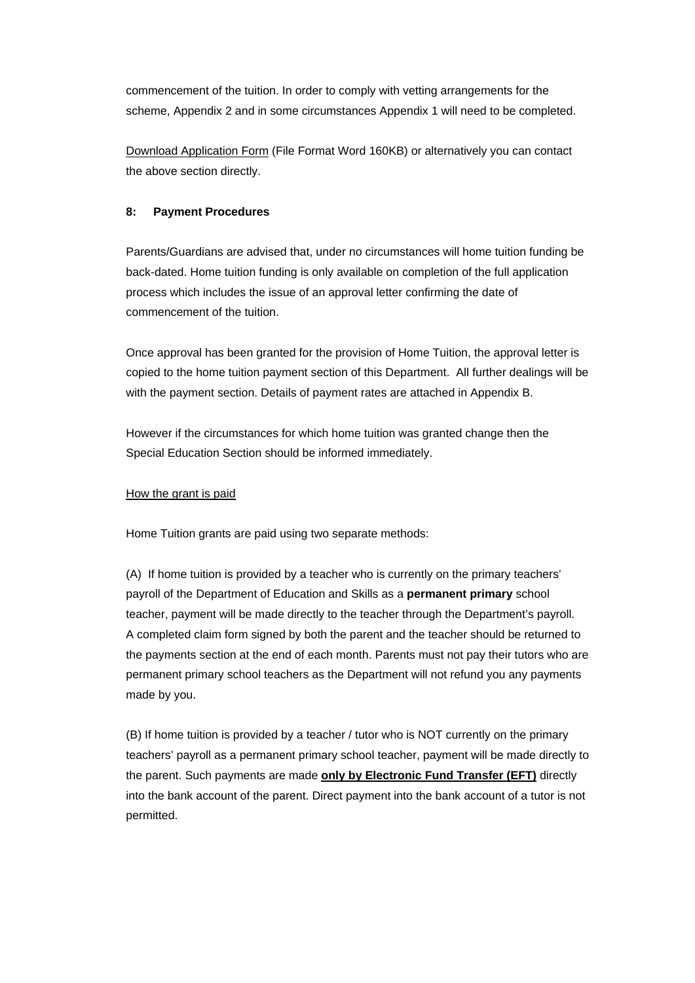commencement of the tuition. In order to comply with vetting arrangements for the scheme, Appendix 2 and in some circumstances Appendix 1 will need to be completed.

[Download Application Form](http://www.education.ie/servlet/blobservlet/sp_home_tuition_app_2011_2012.doc) (File Format Word 160KB) or alternatively you can contact the above section directly.

### **8: Payment Procedures**

Parents/Guardians are advised that, under no circumstances will home tuition funding be back-dated. Home tuition funding is only available on completion of the full application process which includes the issue of an approval letter confirming the date of commencement of the tuition.

Once approval has been granted for the provision of Home Tuition, the approval letter is copied to the home tuition payment section of this Department. All further dealings will be with the payment section. Details of payment rates are attached in Appendix B.

However if the circumstances for which home tuition was granted change then the Special Education Section should be informed immediately.

#### How the grant is paid

Home Tuition grants are paid using two separate methods:

(A) If home tuition is provided by a teacher who is currently on the primary teachers' payroll of the Department of Education and Skills as a **permanent primary** school teacher, payment will be made directly to the teacher through the Department's payroll. A completed claim form signed by both the parent and the teacher should be returned to the payments section at the end of each month. Parents must not pay their tutors who are permanent primary school teachers as the Department will not refund you any payments made by you.

(B) If home tuition is provided by a teacher / tutor who is NOT currently on the primary teachers' payroll as a permanent primary school teacher, payment will be made directly to the parent. Such payments are made **only by Electronic Fund Transfer (EFT)** directly into the bank account of the parent. Direct payment into the bank account of a tutor is not permitted.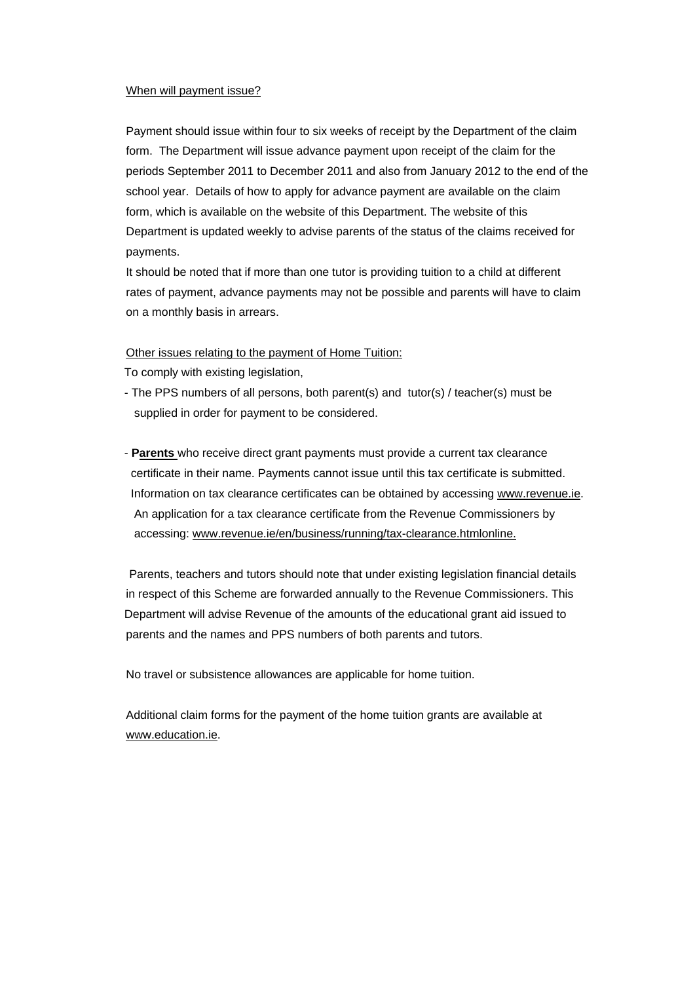#### When will payment issue?

Payment should issue within four to six weeks of receipt by the Department of the claim form. The Department will issue advance payment upon receipt of the claim for the periods September 2011 to December 2011 and also from January 2012 to the end of the school year. Details of how to apply for advance payment are available on the claim form, which is available on the website of this Department. The website of this Department is updated weekly to advise parents of the status of the claims received for payments.

It should be noted that if more than one tutor is providing tuition to a child at different rates of payment, advance payments may not be possible and parents will have to claim on a monthly basis in arrears.

Other issues relating to the payment of Home Tuition:

To comply with existing legislation,

- The PPS numbers of all persons, both parent(s) and tutor(s) / teacher(s) must be supplied in order for payment to be considered.
- **Parents** who receive direct grant payments must provide a current tax clearance certificate in their name. Payments cannot issue until this tax certificate is submitted. Information on tax clearance certificates can be obtained by accessing [www.revenue.ie](http://www.revenue.ie/). An application for a tax clearance certificate from the Revenue Commissioners by accessing: [www.revenue.ie/en/business/running/tax-clearance.htmlonline.](http://www.revenue.ie/en/business/running/tax-clearance.htmlonline)

 Parents, teachers and tutors should note that under existing legislation financial details in respect of this Scheme are forwarded annually to the Revenue Commissioners. This Department will advise Revenue of the amounts of the educational grant aid issued to parents and the names and PPS numbers of both parents and tutors.

No travel or subsistence allowances are applicable for home tuition.

Additional claim forms for the payment of the home tuition grants are available at [www.education.ie](http://www.education.ie/).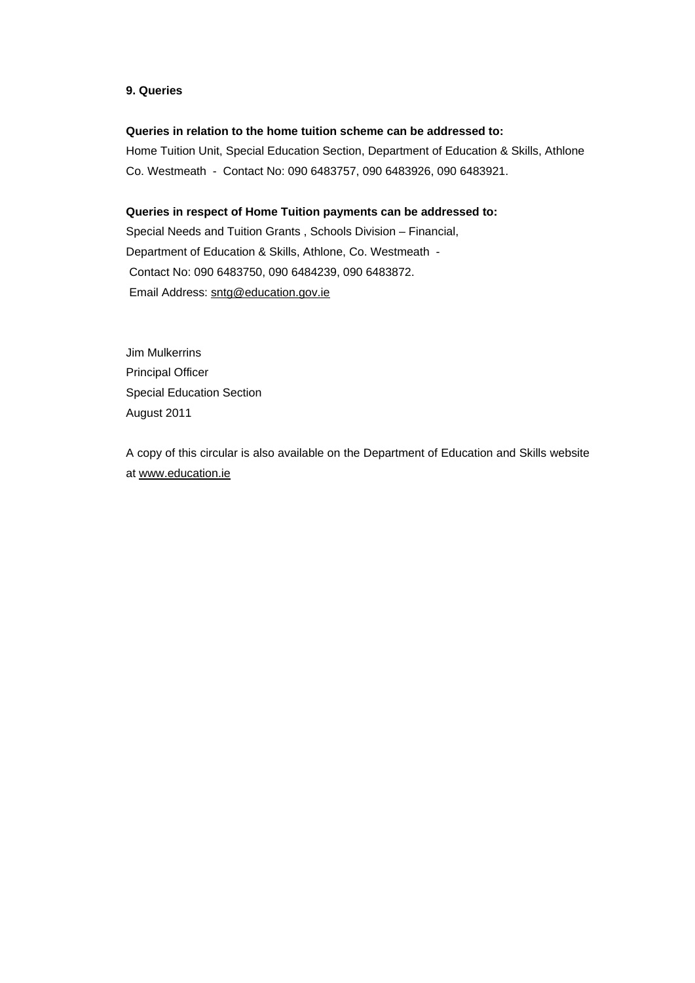#### <span id="page-8-0"></span>**9. Queries**

#### **Queries in relation to the home tuition scheme can be addressed to:**

Home Tuition Unit, Special Education Section, Department of Education & Skills, Athlone Co. Westmeath - Contact No: 090 6483757, 090 6483926, 090 6483921.

#### **Queries in respect of Home Tuition payments can be addressed to:**

Special Needs and Tuition Grants , Schools Division – Financial, Department of Education & Skills, Athlone, Co. Westmeath - Contact No: 090 6483750, 090 6484239, 090 6483872. Email Address: [sntg@education.gov.ie](mailto:sntg@education.gov.ie) 

Jim Mulkerrins Principal Officer Special Education Section August 2011

A copy of this circular is also available on the Department of Education and Skills website at [www.education.ie](http://www.education.ie/)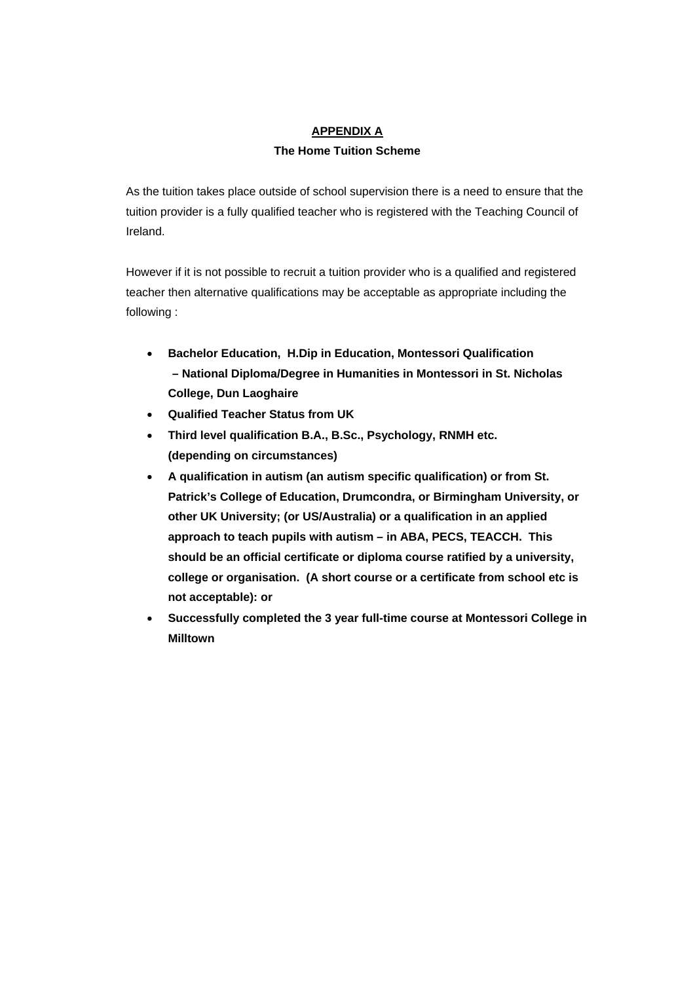## **APPENDIX A**

## **The Home Tuition Scheme**

As the tuition takes place outside of school supervision there is a need to ensure that the tuition provider is a fully qualified teacher who is registered with the Teaching Council of Ireland.

However if it is not possible to recruit a tuition provider who is a qualified and registered teacher then alternative qualifications may be acceptable as appropriate including the following :

- **Bachelor Education, H.Dip in Education, Montessori Qualification – National Diploma/Degree in Humanities in Montessori in St. Nicholas College, Dun Laoghaire**
- **Qualified Teacher Status from UK**
- **Third level qualification B.A., B.Sc., Psychology, RNMH etc. (depending on circumstances)**
- **A qualification in autism (an autism specific qualification) or from St. Patrick's College of Education, Drumcondra, or Birmingham University, or other UK University; (or US/Australia) or a qualification in an applied approach to teach pupils with autism – in ABA, PECS, TEACCH. This should be an official certificate or diploma course ratified by a university, college or organisation. (A short course or a certificate from school etc is not acceptable): or**
- **Successfully completed the 3 year full-time course at Montessori College in Milltown**